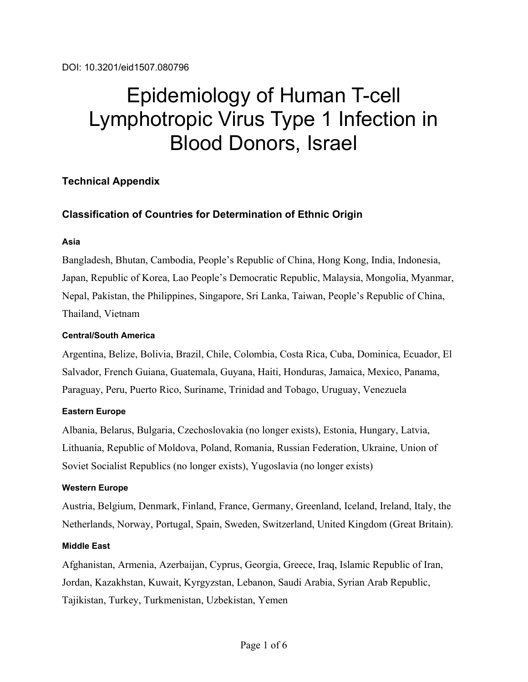# Epidemiology of Human T-cell Lymphotropic Virus Type 1 Infection in Blood Donors, Israel

# **Technical Appendix**

# **Classification of Countries for Determination of Ethnic Origin**

## **Asia**

Bangladesh, Bhutan, Cambodia, People's Republic of China, Hong Kong, India, Indonesia, Japan, Republic of Korea, Lao People's Democratic Republic, Malaysia, Mongolia, Myanmar, Nepal, Pakistan, the Philippines, Singapore, Sri Lanka, Taiwan, People's Republic of China, Thailand, Vietnam

## **Central/South America**

Argentina, Belize, Bolivia, Brazil, Chile, Colombia, Costa Rica, Cuba, Dominica, Ecuador, El Salvador, French Guiana, Guatemala, Guyana, Haiti, Honduras, Jamaica, Mexico, Panama, Paraguay, Peru, Puerto Rico, Suriname, Trinidad and Tobago, Uruguay, Venezuela

## **Eastern Europe**

Albania, Belarus, Bulgaria, Czechoslovakia (no longer exists), Estonia, Hungary, Latvia, Lithuania, Republic of Moldova, Poland, Romania, Russian Federation, Ukraine, Union of Soviet Socialist Republics (no longer exists), Yugoslavia (no longer exists)

#### **Western Europe**

Austria, Belgium, Denmark, Finland, France, Germany, Greenland, Iceland, Ireland, Italy, the Netherlands, Norway, Portugal, Spain, Sweden, Switzerland, United Kingdom (Great Britain).

## **Middle East**

Afghanistan, Armenia, Azerbaijan, Cyprus, Georgia, Greece, Iraq, Islamic Republic of Iran, Jordan, Kazakhstan, Kuwait, Kyrgyzstan, Lebanon, Saudi Arabia, Syrian Arab Republic, Tajikistan, Turkey, Turkmenistan, Uzbekistan, Yemen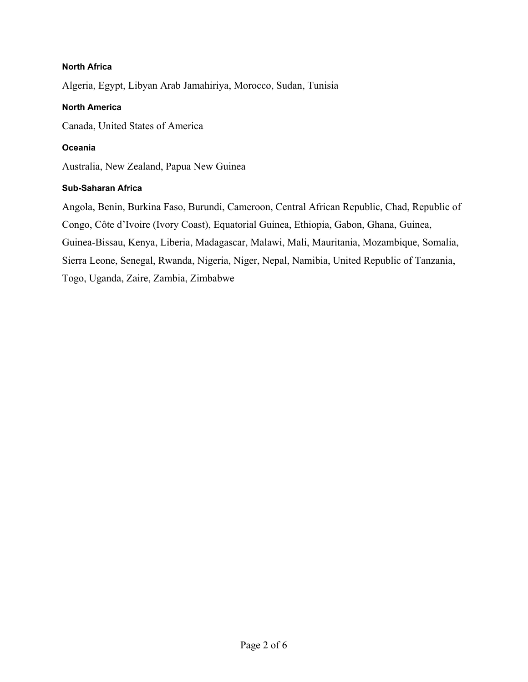## **North Africa**

Algeria, Egypt, Libyan Arab Jamahiriya, Morocco, Sudan, Tunisia

## **North America**

Canada, United States of America

## **Oceania**

Australia, New Zealand, Papua New Guinea

#### **Sub-Saharan Africa**

Angola, Benin, Burkina Faso, Burundi, Cameroon, Central African Republic, Chad, Republic of Congo, Côte d'Ivoire (Ivory Coast), Equatorial Guinea, Ethiopia, Gabon, Ghana, Guinea, Guinea-Bissau, Kenya, Liberia, Madagascar, Malawi, Mali, Mauritania, Mozambique, Somalia, Sierra Leone, Senegal, Rwanda, Nigeria, Niger, Nepal, Namibia, United Republic of Tanzania, Togo, Uganda, Zaire, Zambia, Zimbabwe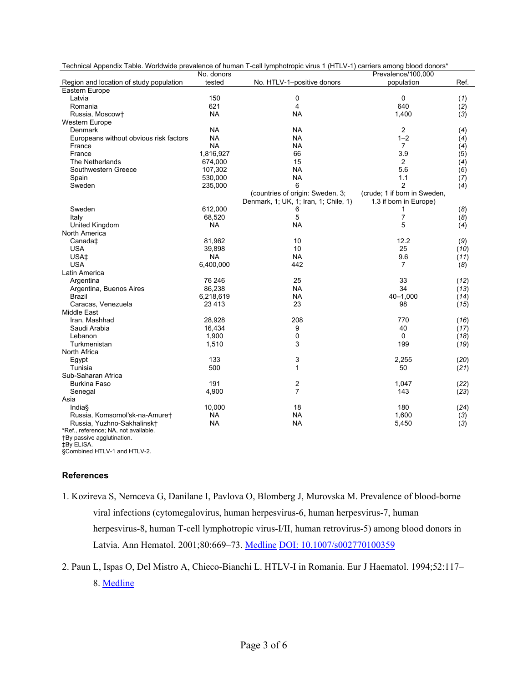| Technical Appendix Table. Worldwide prevalence of human T-cell lymphotropic virus 1 (HTLV-1) carriers among blood donors* |            |                                       |                              |            |
|---------------------------------------------------------------------------------------------------------------------------|------------|---------------------------------------|------------------------------|------------|
|                                                                                                                           | No. donors |                                       | Prevalence/100.000           |            |
| Region and location of study population                                                                                   | tested     | No. HTLV-1-positive donors            | population                   | Ref.       |
| Eastern Europe                                                                                                            |            |                                       |                              |            |
| Latvia                                                                                                                    | 150        | 0                                     | $\mathbf 0$                  | (1)        |
| Romania                                                                                                                   | 621        | 4                                     | 640                          | (2)        |
| Russia, Moscowt                                                                                                           | <b>NA</b>  | <b>NA</b>                             | 1,400                        | (3)        |
| Western Europe                                                                                                            |            |                                       |                              |            |
| Denmark                                                                                                                   | <b>NA</b>  | <b>NA</b>                             | $\overline{2}$               | (4)        |
| Europeans without obvious risk factors                                                                                    | <b>NA</b>  | <b>NA</b>                             | $1 - 2$                      | (4)        |
| France                                                                                                                    | <b>NA</b>  | <b>NA</b>                             | $\overline{7}$               | (4)        |
| France                                                                                                                    | 1,816,927  | 66                                    | 3.9                          | (5)        |
| The Netherlands                                                                                                           | 674,000    | 15                                    | 2                            | (4)        |
| Southwestern Greece                                                                                                       | 107,302    | <b>NA</b>                             | 5.6                          | (6)        |
| Spain                                                                                                                     | 530,000    | <b>NA</b>                             | 1.1                          | (7)        |
| Sweden                                                                                                                    | 235,000    | 6                                     | $\overline{2}$               | (4)        |
|                                                                                                                           |            | (countries of origin: Sweden, 3;      | (crude; 1 if born in Sweden, |            |
|                                                                                                                           |            | Denmark, 1; UK, 1; Iran, 1; Chile, 1) | 1.3 if born in Europe)       |            |
| Sweden                                                                                                                    | 612,000    | 6                                     | 1                            | (8)        |
| Italy                                                                                                                     | 68,520     | 5                                     | $\overline{7}$               | (8)        |
| United Kingdom                                                                                                            | <b>NA</b>  | <b>NA</b>                             | 5                            | (4)        |
| North America                                                                                                             |            |                                       |                              |            |
| Canada <sup>+</sup>                                                                                                       | 81,962     | 10                                    | 12.2                         | (9)        |
| USA                                                                                                                       | 39,898     | 10                                    | 25                           | (10)       |
| USA <sub>‡</sub>                                                                                                          | <b>NA</b>  | <b>NA</b>                             | 9.6                          | (11)       |
| <b>USA</b>                                                                                                                | 6,400,000  | 442                                   | $\overline{7}$               | (8)        |
| Latin America                                                                                                             |            |                                       |                              |            |
| Argentina                                                                                                                 | 76 246     | 25                                    | 33                           | (12)       |
| Argentina, Buenos Aires                                                                                                   | 86,238     | <b>NA</b>                             | 34                           | (13)       |
| <b>Brazil</b>                                                                                                             | 6,218,619  | <b>NA</b>                             | 40-1,000                     | (14)       |
| Caracas, Venezuela                                                                                                        | 23 4 13    | 23                                    | 98                           | (15)       |
| Middle East                                                                                                               |            |                                       |                              |            |
| Iran, Mashhad                                                                                                             | 28,928     | 208                                   | 770                          | (16)       |
| Saudi Arabia                                                                                                              | 16.434     | 9                                     | 40                           | (17)       |
| Lebanon                                                                                                                   | 1,900      | $\pmb{0}$                             | $\Omega$                     | (18)       |
| Turkmenistan                                                                                                              | 1,510      | 3                                     | 199                          | (19)       |
| North Africa                                                                                                              |            |                                       |                              |            |
| Egypt                                                                                                                     | 133        | 3                                     | 2,255                        | (20)       |
| Tunisia                                                                                                                   | 500        | 1                                     | 50                           | (21)       |
| Sub-Saharan Africa                                                                                                        |            |                                       |                              |            |
| <b>Burkina Faso</b>                                                                                                       | 191        | 2                                     | 1,047                        | (22)       |
| Senegal                                                                                                                   | 4,900      | $\overline{7}$                        | 143                          | (23)       |
| Asia                                                                                                                      |            |                                       |                              |            |
| India                                                                                                                     | 10,000     | 18                                    | 180                          | (24)       |
| Russia, Komsomol'sk-na-Amuret                                                                                             | <b>NA</b>  | <b>NA</b>                             | 1,600                        |            |
| Russia, Yuzhno-Sakhalinskt                                                                                                | NA         | <b>NA</b>                             | 5,450                        | (3)<br>(3) |
| *Ref., reference; NA, not available.                                                                                      |            |                                       |                              |            |
| +By passive agglutination.                                                                                                |            |                                       |                              |            |

‡By ELISA. §Combined HTLV-1 and HTLV-2.

#### **References**

- 1. Kozireva S, Nemceva G, Danilane I, Pavlova O, Blomberg J, Murovska M. Prevalence of blood-borne viral infections (cytomegalovirus, human herpesvirus-6, human herpesvirus-7, human herpesvirus-8, human T-cell lymphotropic virus-I/II, human retrovirus-5) among blood donors in Latvia. Ann Hematol. 2001;80:669–73. [Medline](http://www.ncbi.nlm.nih.gov/sites/entrez?cmd=Retrieve&db=PubMed&list_uids=11757726&dopt=Abstract) [DOI: 10.1007/s002770100359](http://dx.doi.org/10.1007/s002770100359)
- 2. Paun L, Ispas O, Del Mistro A, Chieco-Bianchi L. HTLV-I in Romania. Eur J Haematol. 1994;52:117– 8[. Medline](http://www.ncbi.nlm.nih.gov/sites/entrez?cmd=Retrieve&db=PubMed&list_uids=8119382&dopt=Abstract)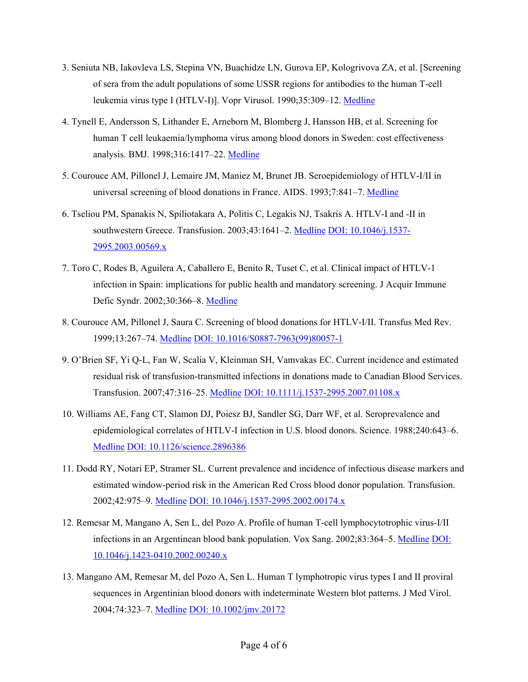- 3. Seniuta NB, Iakovleva LS, Stepina VN, Buachidze LN, Gurova EP, Kologrivova ZA, et al. [Screening of sera from the adult populations of some USSR regions for antibodies to the human T-cell leukemia virus type I (HTLV-I)]. Vopr Virusol. 1990;35:309-12. [Medline](http://www.ncbi.nlm.nih.gov/sites/entrez?cmd=Retrieve&db=PubMed&list_uids=2256315&dopt=Abstract)
- 4. Tynell E, Andersson S, Lithander E, Arneborn M, Blomberg J, Hansson HB, et al. Screening for human T cell leukaemia/lymphoma virus among blood donors in Sweden: cost effectiveness analysis. BMJ. 1998;316:1417–22. [Medline](http://www.ncbi.nlm.nih.gov/sites/entrez?cmd=Retrieve&db=PubMed&list_uids=9572750&dopt=Abstract)
- 5. Courouce AM, Pillonel J, Lemaire JM, Maniez M, Brunet JB. Seroepidemiology of HTLV-I/II in universal screening of blood donations in France. AIDS. 1993;7:841–7[. Medline](http://www.ncbi.nlm.nih.gov/sites/entrez?cmd=Retrieve&db=PubMed&list_uids=8103342&dopt=Abstract)
- 6. Tseliou PM, Spanakis N, Spiliotakara A, Politis C, Legakis NJ, Tsakris A. HTLV-I and -II in southwestern Greece. Transfusion. 2003;43:1641-2[. Medline](http://www.ncbi.nlm.nih.gov/sites/entrez?cmd=Retrieve&db=PubMed&list_uids=14617329&dopt=Abstract) [DOI: 10.1046/j.1537-](http://dx.doi.org/10.1046/j.1537-2995.2003.00569.x) [2995.2003.00569.x](http://dx.doi.org/10.1046/j.1537-2995.2003.00569.x)
- 7. Toro C, Rodes B, Aguilera A, Caballero E, Benito R, Tuset C, et al. Clinical impact of HTLV-1 infection in Spain: implications for public health and mandatory screening. J Acquir Immune Defic Syndr. 2002;30:366–8[. Medline](http://www.ncbi.nlm.nih.gov/sites/entrez?cmd=Retrieve&db=PubMed&list_uids=12131577&dopt=Abstract)
- 8. Courouce AM, Pillonel J, Saura C. Screening of blood donations for HTLV-I/II. Transfus Med Rev. 1999;13:267–74. [Medline](http://www.ncbi.nlm.nih.gov/sites/entrez?cmd=Retrieve&db=PubMed&list_uids=10553270&dopt=Abstract) [DOI: 10.1016/S0887-7963\(99\)80057-1](http://dx.doi.org/10.1016/S0887-7963(99)80057-1)
- 9. O'Brien SF, Yi Q-L, Fan W, Scalia V, Kleinman SH, Vamvakas EC. Current incidence and estimated residual risk of transfusion-transmitted infections in donations made to Canadian Blood Services. Transfusion. 2007;47:316–25. [Medline](http://www.ncbi.nlm.nih.gov/sites/entrez?cmd=Retrieve&db=PubMed&list_uids=17302779&dopt=Abstract) [DOI: 10.1111/j.1537-2995.2007.01108.x](http://dx.doi.org/10.1111/j.1537-2995.2007.01108.x)
- 10. Williams AE, Fang CT, Slamon DJ, Poiesz BJ, Sandler SG, Darr WF, et al. Seroprevalence and epidemiological correlates of HTLV-I infection in U.S. blood donors. Science. 1988;240:643–6. [Medline](http://www.ncbi.nlm.nih.gov/sites/entrez?cmd=Retrieve&db=PubMed&list_uids=2896386&dopt=Abstract) [DOI: 10.1126/science.2896386](http://dx.doi.org/10.1126/science.2896386)
- 11. Dodd RY, Notari EP, Stramer SL. Current prevalence and incidence of infectious disease markers and estimated window-period risk in the American Red Cross blood donor population. Transfusion. 2002;42:975–9[. Medline](http://www.ncbi.nlm.nih.gov/sites/entrez?cmd=Retrieve&db=PubMed&list_uids=12385406&dopt=Abstract) [DOI: 10.1046/j.1537-2995.2002.00174.x](http://dx.doi.org/10.1046/j.1537-2995.2002.00174.x)
- 12. Remesar M, Mangano A, Sen L, del Pozo A. Profile of human T-cell lymphocytotrophic virus-I/II infections in an Argentinean blood bank population. Vox Sang. 2002;83:364–5. [Medline](http://www.ncbi.nlm.nih.gov/sites/entrez?cmd=Retrieve&db=PubMed&list_uids=12437526&dopt=Abstract) [DOI:](http://dx.doi.org/10.1046/j.1423-0410.2002.00240.x)  [10.1046/j.1423-0410.2002.00240.x](http://dx.doi.org/10.1046/j.1423-0410.2002.00240.x)
- 13. Mangano AM, Remesar M, del Pozo A, Sen L. Human T lymphotropic virus types I and II proviral sequences in Argentinian blood donors with indeterminate Western blot patterns. J Med Virol. 2004;74:323–7[. Medline](http://www.ncbi.nlm.nih.gov/sites/entrez?cmd=Retrieve&db=PubMed&list_uids=15332282&dopt=Abstract) [DOI: 10.1002/jmv.20172](http://dx.doi.org/10.1002/jmv.20172)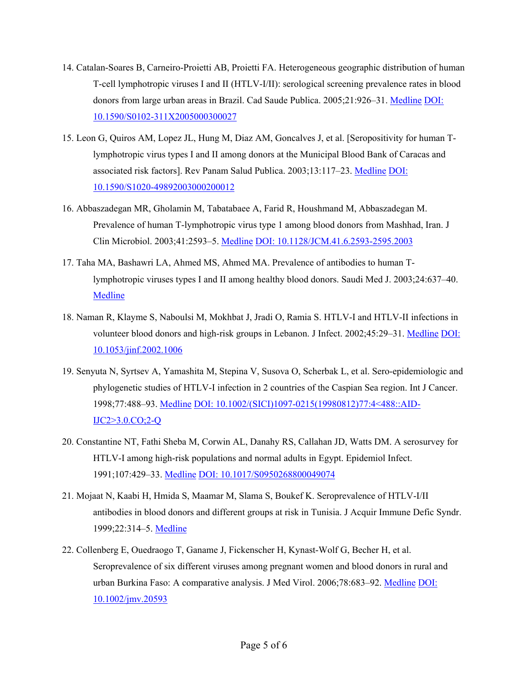- 14. Catalan-Soares B, Carneiro-Proietti AB, Proietti FA. Heterogeneous geographic distribution of human T-cell lymphotropic viruses I and II (HTLV-I/II): serological screening prevalence rates in blood donors from large urban areas in Brazil. Cad Saude Publica. 2005;21:926–31. [Medline](http://www.ncbi.nlm.nih.gov/sites/entrez?cmd=Retrieve&db=PubMed&list_uids=15868051&dopt=Abstract) [DOI:](http://dx.doi.org/10.1590/S0102-311X2005000300027)  [10.1590/S0102-311X2005000300027](http://dx.doi.org/10.1590/S0102-311X2005000300027)
- 15. Leon G, Quiros AM, Lopez JL, Hung M, Diaz AM, Goncalves J, et al. [Seropositivity for human Tlymphotropic virus types I and II among donors at the Municipal Blood Bank of Caracas and associated risk factors]. Rev Panam Salud Publica. 2003;13:117–23. [Medline](http://www.ncbi.nlm.nih.gov/sites/entrez?cmd=Retrieve&db=PubMed&list_uids=12744787&dopt=Abstract) [DOI:](http://dx.doi.org/10.1590/S1020-49892003000200012)  [10.1590/S1020-49892003000200012](http://dx.doi.org/10.1590/S1020-49892003000200012)
- 16. Abbaszadegan MR, Gholamin M, Tabatabaee A, Farid R, Houshmand M, Abbaszadegan M. Prevalence of human T-lymphotropic virus type 1 among blood donors from Mashhad, Iran. J Clin Microbiol. 2003;41:2593–5[. Medline](http://www.ncbi.nlm.nih.gov/sites/entrez?cmd=Retrieve&db=PubMed&list_uids=12791885&dopt=Abstract) [DOI: 10.1128/JCM.41.6.2593-2595.2003](http://dx.doi.org/10.1128/JCM.41.6.2593-2595.2003)
- 17. Taha MA, Bashawri LA, Ahmed MS, Ahmed MA. Prevalence of antibodies to human Tlymphotropic viruses types I and II among healthy blood donors. Saudi Med J. 2003;24:637–40[.](http://www.ncbi.nlm.nih.gov/sites/entrez?cmd=Retrieve&db=PubMed&list_uids=12847594&dopt=Abstract) **[Medline](http://www.ncbi.nlm.nih.gov/sites/entrez?cmd=Retrieve&db=PubMed&list_uids=12847594&dopt=Abstract)**
- 18. Naman R, Klayme S, Naboulsi M, Mokhbat J, Jradi O, Ramia S. HTLV-I and HTLV-II infections in volunteer blood donors and high-risk groups in Lebanon. J Infect. 2002;45:29–31[. Medline](http://www.ncbi.nlm.nih.gov/sites/entrez?cmd=Retrieve&db=PubMed&list_uids=12217728&dopt=Abstract) [DOI:](http://dx.doi.org/10.1053/jinf.2002.1006)  [10.1053/jinf.2002.1006](http://dx.doi.org/10.1053/jinf.2002.1006)
- 19. Senyuta N, Syrtsev A, Yamashita M, Stepina V, Susova O, Scherbak L, et al. Sero-epidemiologic and phylogenetic studies of HTLV-I infection in 2 countries of the Caspian Sea region. Int J Cancer. 1998;77:488–93. [Medline](http://www.ncbi.nlm.nih.gov/sites/entrez?cmd=Retrieve&db=PubMed&list_uids=9679746&dopt=Abstract) [DOI: 10.1002/\(SICI\)1097-0215\(19980812\)77:4<488::AID-](http://dx.doi.org/10.1002/(SICI)1097-0215(19980812)77%3A4%3C488%3A%3AAID-IJC2%3E3.0.CO%3B2-Q)[IJC2>3.0.CO;2-Q](http://dx.doi.org/10.1002/(SICI)1097-0215(19980812)77%3A4%3C488%3A%3AAID-IJC2%3E3.0.CO%3B2-Q)
- 20. Constantine NT, Fathi Sheba M, Corwin AL, Danahy RS, Callahan JD, Watts DM. A serosurvey for HTLV-I among high-risk populations and normal adults in Egypt. Epidemiol Infect. 1991;107:429–33[. Medline](http://www.ncbi.nlm.nih.gov/sites/entrez?cmd=Retrieve&db=PubMed&list_uids=1936162&dopt=Abstract) [DOI: 10.1017/S0950268800049074](http://dx.doi.org/10.1017/S0950268800049074)
- 21. Mojaat N, Kaabi H, Hmida S, Maamar M, Slama S, Boukef K. Seroprevalence of HTLV-I/II antibodies in blood donors and different groups at risk in Tunisia. J Acquir Immune Defic Syndr. 1999;22:314–5[. Medline](http://www.ncbi.nlm.nih.gov/sites/entrez?cmd=Retrieve&db=PubMed&list_uids=10770357&dopt=Abstract)
- 22. Collenberg E, Ouedraogo T, Ganame J, Fickenscher H, Kynast-Wolf G, Becher H, et al. Seroprevalence of six different viruses among pregnant women and blood donors in rural and urban Burkina Faso: A comparative analysis. J Med Virol. 2006;78:683–92. [Medline](http://www.ncbi.nlm.nih.gov/sites/entrez?cmd=Retrieve&db=PubMed&list_uids=16555290&dopt=Abstract) [DOI:](http://dx.doi.org/10.1002/jmv.20593)  [10.1002/jmv.20593](http://dx.doi.org/10.1002/jmv.20593)